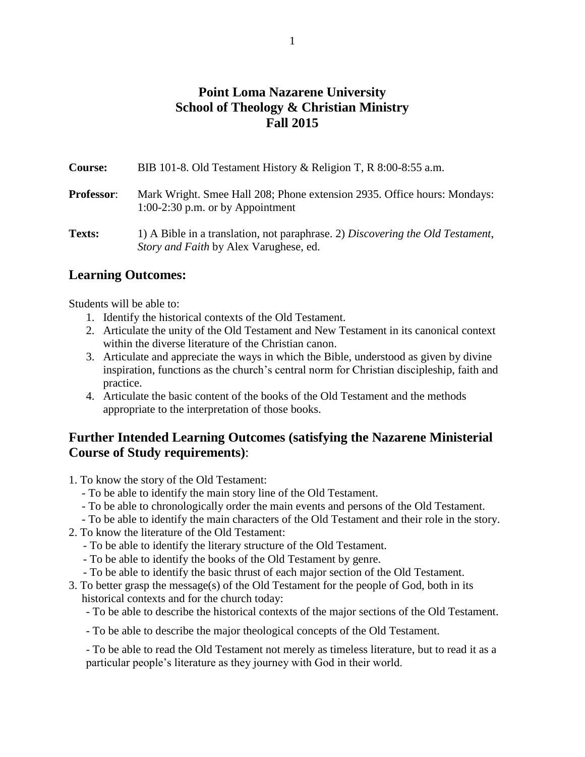# **Point Loma Nazarene University School of Theology & Christian Ministry Fall 2015**

| <b>Course:</b>    | BIB 101-8. Old Testament History & Religion T, R $8:00-8:55$ a.m.                                                               |  |
|-------------------|---------------------------------------------------------------------------------------------------------------------------------|--|
| <b>Professor:</b> | Mark Wright. Smee Hall 208; Phone extension 2935. Office hours: Mondays:<br>$1:00-2:30$ p.m. or by Appointment                  |  |
| Texts:            | 1) A Bible in a translation, not paraphrase. 2) Discovering the Old Testament,<br><i>Story and Faith</i> by Alex Varughese, ed. |  |

## **Learning Outcomes:**

Students will be able to:

- 1. Identify the historical contexts of the Old Testament.
- 2. Articulate the unity of the Old Testament and New Testament in its canonical context within the diverse literature of the Christian canon.
- 3. Articulate and appreciate the ways in which the Bible, understood as given by divine inspiration, functions as the church's central norm for Christian discipleship, faith and practice.
- 4. Articulate the basic content of the books of the Old Testament and the methods appropriate to the interpretation of those books.

# **Further Intended Learning Outcomes (satisfying the Nazarene Ministerial Course of Study requirements)**:

- 1. To know the story of the Old Testament:
	- To be able to identify the main story line of the Old Testament.
	- To be able to chronologically order the main events and persons of the Old Testament.
	- To be able to identify the main characters of the Old Testament and their role in the story.
- 2. To know the literature of the Old Testament:
	- To be able to identify the literary structure of the Old Testament.
	- To be able to identify the books of the Old Testament by genre.
	- To be able to identify the basic thrust of each major section of the Old Testament.
- 3. To better grasp the message(s) of the Old Testament for the people of God, both in its historical contexts and for the church today:
	- To be able to describe the historical contexts of the major sections of the Old Testament.
	- To be able to describe the major theological concepts of the Old Testament.

- To be able to read the Old Testament not merely as timeless literature, but to read it as a particular people's literature as they journey with God in their world.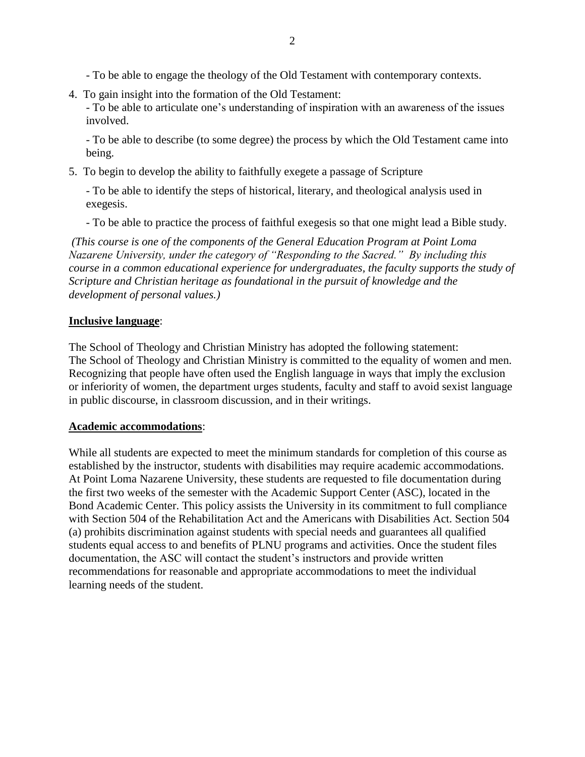- To be able to engage the theology of the Old Testament with contemporary contexts.

4. To gain insight into the formation of the Old Testament: - To be able to articulate one's understanding of inspiration with an awareness of the issues involved.

- To be able to describe (to some degree) the process by which the Old Testament came into being.

5. To begin to develop the ability to faithfully exegete a passage of Scripture

- To be able to identify the steps of historical, literary, and theological analysis used in exegesis.

- To be able to practice the process of faithful exegesis so that one might lead a Bible study.

*(This course is one of the components of the General Education Program at Point Loma Nazarene University, under the category of "Responding to the Sacred." By including this course in a common educational experience for undergraduates, the faculty supports the study of Scripture and Christian heritage as foundational in the pursuit of knowledge and the development of personal values.)*

### **Inclusive language**:

The School of Theology and Christian Ministry has adopted the following statement: The School of Theology and Christian Ministry is committed to the equality of women and men. Recognizing that people have often used the English language in ways that imply the exclusion or inferiority of women, the department urges students, faculty and staff to avoid sexist language in public discourse, in classroom discussion, and in their writings.

#### **Academic accommodations**:

While all students are expected to meet the minimum standards for completion of this course as established by the instructor, students with disabilities may require academic accommodations. At Point Loma Nazarene University, these students are requested to file documentation during the first two weeks of the semester with the Academic Support Center (ASC), located in the Bond Academic Center. This policy assists the University in its commitment to full compliance with Section 504 of the Rehabilitation Act and the Americans with Disabilities Act. Section 504 (a) prohibits discrimination against students with special needs and guarantees all qualified students equal access to and benefits of PLNU programs and activities. Once the student files documentation, the ASC will contact the student's instructors and provide written recommendations for reasonable and appropriate accommodations to meet the individual learning needs of the student.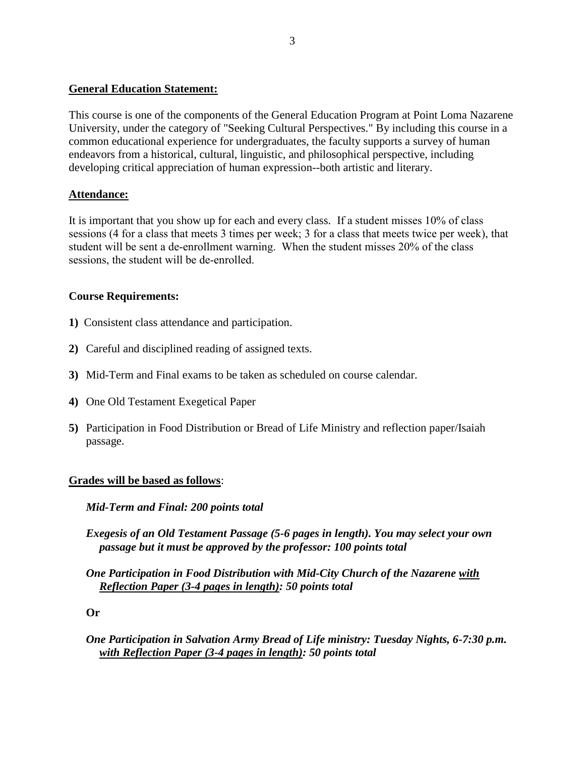#### **General Education Statement:**

This course is one of the components of the General Education Program at Point Loma Nazarene University, under the category of "Seeking Cultural Perspectives." By including this course in a common educational experience for undergraduates, the faculty supports a survey of human endeavors from a historical, cultural, linguistic, and philosophical perspective, including developing critical appreciation of human expression--both artistic and literary.

### **Attendance:**

It is important that you show up for each and every class. If a student misses 10% of class sessions (4 for a class that meets 3 times per week; 3 for a class that meets twice per week), that student will be sent a de-enrollment warning. When the student misses 20% of the class sessions, the student will be de-enrolled.

### **Course Requirements:**

- **1)** Consistent class attendance and participation.
- **2)** Careful and disciplined reading of assigned texts.
- **3)** Mid-Term and Final exams to be taken as scheduled on course calendar.
- **4)** One Old Testament Exegetical Paper
- **5)** Participation in Food Distribution or Bread of Life Ministry and reflection paper/Isaiah passage.

### **Grades will be based as follows**:

*Mid-Term and Final: 200 points total*

- *Exegesis of an Old Testament Passage (5-6 pages in length). You may select your own passage but it must be approved by the professor: 100 points total*
- *One Participation in Food Distribution with Mid-City Church of the Nazarene with Reflection Paper (3-4 pages in length): 50 points total*

**Or** 

*One Participation in Salvation Army Bread of Life ministry: Tuesday Nights, 6-7:30 p.m. with Reflection Paper (3-4 pages in length): 50 points total*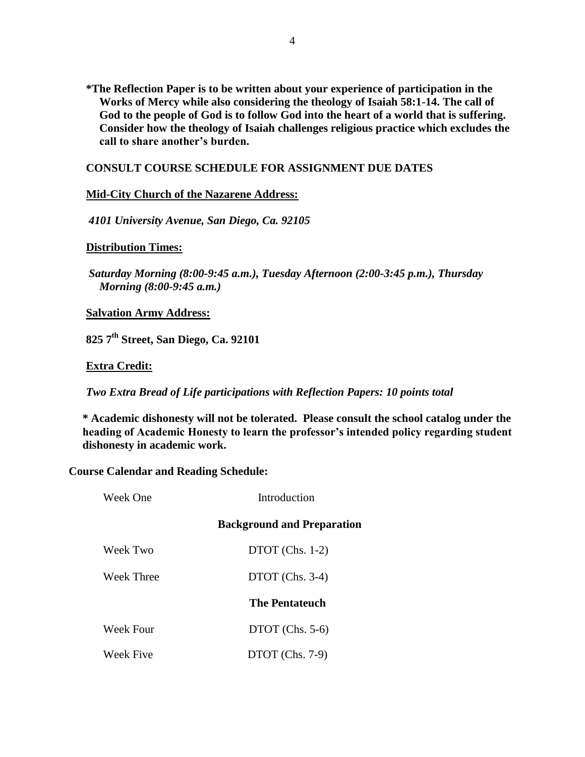**\*The Reflection Paper is to be written about your experience of participation in the Works of Mercy while also considering the theology of Isaiah 58:1-14. The call of God to the people of God is to follow God into the heart of a world that is suffering. Consider how the theology of Isaiah challenges religious practice which excludes the call to share another's burden.** 

### **CONSULT COURSE SCHEDULE FOR ASSIGNMENT DUE DATES**

#### **Mid-City Church of the Nazarene Address:**

*4101 University Avenue, San Diego, Ca. 92105*

#### **Distribution Times:**

*Saturday Morning (8:00-9:45 a.m.), Tuesday Afternoon (2:00-3:45 p.m.), Thursday Morning (8:00-9:45 a.m.)* 

**Salvation Army Address:**

**825 7th Street, San Diego, Ca. 92101**

#### **Extra Credit:**

*Two Extra Bread of Life participations with Reflection Papers: 10 points total*

**\* Academic dishonesty will not be tolerated. Please consult the school catalog under the heading of Academic Honesty to learn the professor's intended policy regarding student dishonesty in academic work.**

**Course Calendar and Reading Schedule:**

| Week One         | Introduction                      |
|------------------|-----------------------------------|
|                  | <b>Background and Preparation</b> |
| Week Two         | $DTOT$ (Chs. 1-2)                 |
| Week Three       | $DTOT$ (Chs. 3-4)                 |
|                  | <b>The Pentateuch</b>             |
| <b>Week Four</b> | $DTOT$ (Chs. 5-6)                 |
| <b>Week Five</b> | $DTOT$ (Chs. 7-9)                 |